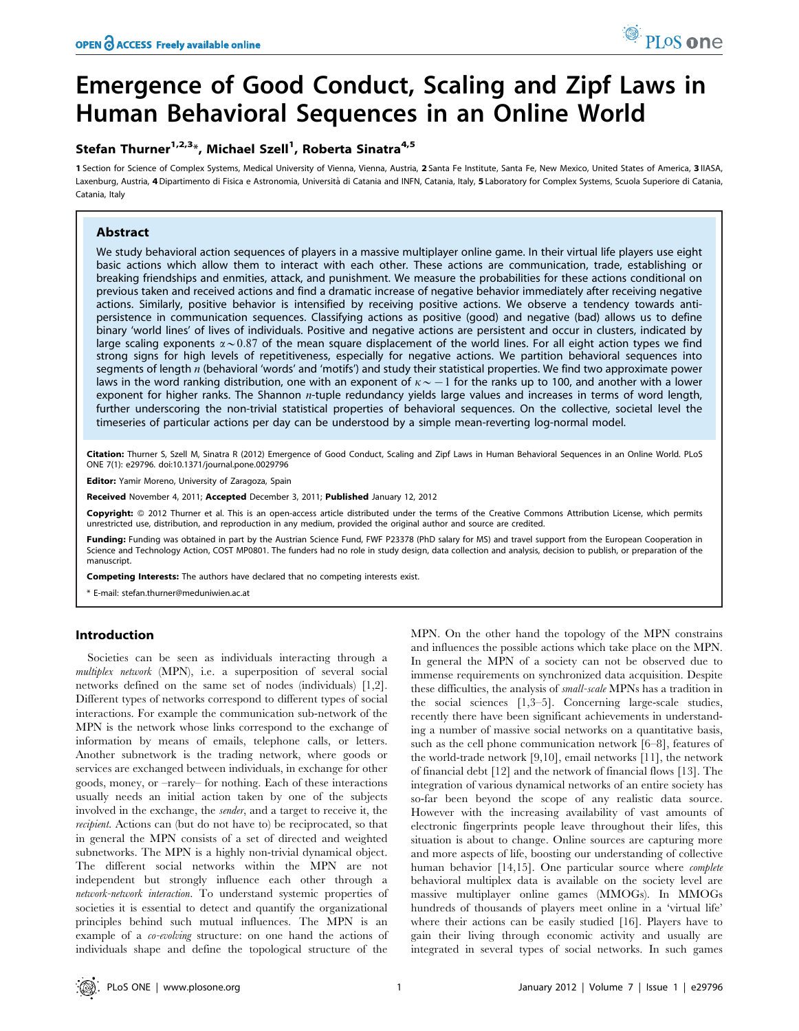# Emergence of Good Conduct, Scaling and Zipf Laws in Human Behavioral Sequences in an Online World

# Stefan Thurner<sup>1,2,3</sup>\*, Michael Szell<sup>1</sup>, Roberta Sinatra<sup>4,5</sup>

1 Section for Science of Complex Systems, Medical University of Vienna, Vienna, Austria, 2 Santa Fe Institute, Santa Fe, New Mexico, United States of America, 3 IIASA, Laxenburg, Austria, 4 Dipartimento di Fisica e Astronomia, Università di Catania and INFN, Catania, Italy, 5 Laboratory for Complex Systems, Scuola Superiore di Catania, Catania, Italy

# Abstract

We study behavioral action sequences of players in a massive multiplayer online game. In their virtual life players use eight basic actions which allow them to interact with each other. These actions are communication, trade, establishing or breaking friendships and enmities, attack, and punishment. We measure the probabilities for these actions conditional on previous taken and received actions and find a dramatic increase of negative behavior immediately after receiving negative actions. Similarly, positive behavior is intensified by receiving positive actions. We observe a tendency towards antipersistence in communication sequences. Classifying actions as positive (good) and negative (bad) allows us to define binary 'world lines' of lives of individuals. Positive and negative actions are persistent and occur in clusters, indicated by large scaling exponents  $\alpha \sim 0.87$  of the mean square displacement of the world lines. For all eight action types we find strong signs for high levels of repetitiveness, especially for negative actions. We partition behavioral sequences into segments of length  $n$  (behavioral 'words' and 'motifs') and study their statistical properties. We find two approximate power laws in the word ranking distribution, one with an exponent of  $\kappa \sim -1$  for the ranks up to 100, and another with a lower exponent for higher ranks. The Shannon *n*-tuple redundancy yields large values and increases in terms of word length, further underscoring the non-trivial statistical properties of behavioral sequences. On the collective, societal level the timeseries of particular actions per day can be understood by a simple mean-reverting log-normal model.

Citation: Thurner S, Szell M, Sinatra R (2012) Emergence of Good Conduct, Scaling and Zipf Laws in Human Behavioral Sequences in an Online World. PLoS ONE 7(1): e29796. doi:10.1371/journal.pone.0029796

Editor: Yamir Moreno, University of Zaragoza, Spain

Received November 4, 2011; Accepted December 3, 2011; Published January 12, 2012

**Copyright:** © 2012 Thurner et al. This is an open-access article distributed under the terms of the Creative Commons Attribution License, which permits unrestricted use, distribution, and reproduction in any medium, provided the original author and source are credited.

Funding: Funding was obtained in part by the Austrian Science Fund, FWF P23378 (PhD salary for MS) and travel support from the European Cooperation in Science and Technology Action, COST MP0801. The funders had no role in study design, data collection and analysis, decision to publish, or preparation of the manuscript.

Competing Interests: The authors have declared that no competing interests exist.

\* E-mail: stefan.thurner@meduniwien.ac.at

# Introduction

Societies can be seen as individuals interacting through a multiplex network (MPN), i.e. a superposition of several social networks defined on the same set of nodes (individuals) [1,2]. Different types of networks correspond to different types of social interactions. For example the communication sub-network of the MPN is the network whose links correspond to the exchange of information by means of emails, telephone calls, or letters. Another subnetwork is the trading network, where goods or services are exchanged between individuals, in exchange for other goods, money, or –rarely– for nothing. Each of these interactions usually needs an initial action taken by one of the subjects involved in the exchange, the sender, and a target to receive it, the recipient. Actions can (but do not have to) be reciprocated, so that in general the MPN consists of a set of directed and weighted subnetworks. The MPN is a highly non-trivial dynamical object. The different social networks within the MPN are not independent but strongly influence each other through a network-network interaction. To understand systemic properties of societies it is essential to detect and quantify the organizational principles behind such mutual influences. The MPN is an example of a *co-evolving* structure: on one hand the actions of individuals shape and define the topological structure of the

MPN. On the other hand the topology of the MPN constrains and influences the possible actions which take place on the MPN. In general the MPN of a society can not be observed due to immense requirements on synchronized data acquisition. Despite these difficulties, the analysis of small-scale MPNs has a tradition in the social sciences [1,3–5]. Concerning large-scale studies, recently there have been significant achievements in understanding a number of massive social networks on a quantitative basis, such as the cell phone communication network [6–8], features of the world-trade network [9,10], email networks [11], the network of financial debt [12] and the network of financial flows [13]. The integration of various dynamical networks of an entire society has so-far been beyond the scope of any realistic data source. However with the increasing availability of vast amounts of electronic fingerprints people leave throughout their lifes, this situation is about to change. Online sources are capturing more and more aspects of life, boosting our understanding of collective human behavior [14,15]. One particular source where *complete* behavioral multiplex data is available on the society level are massive multiplayer online games (MMOGs). In MMOGs hundreds of thousands of players meet online in a 'virtual life' where their actions can be easily studied [16]. Players have to gain their living through economic activity and usually are integrated in several types of social networks. In such games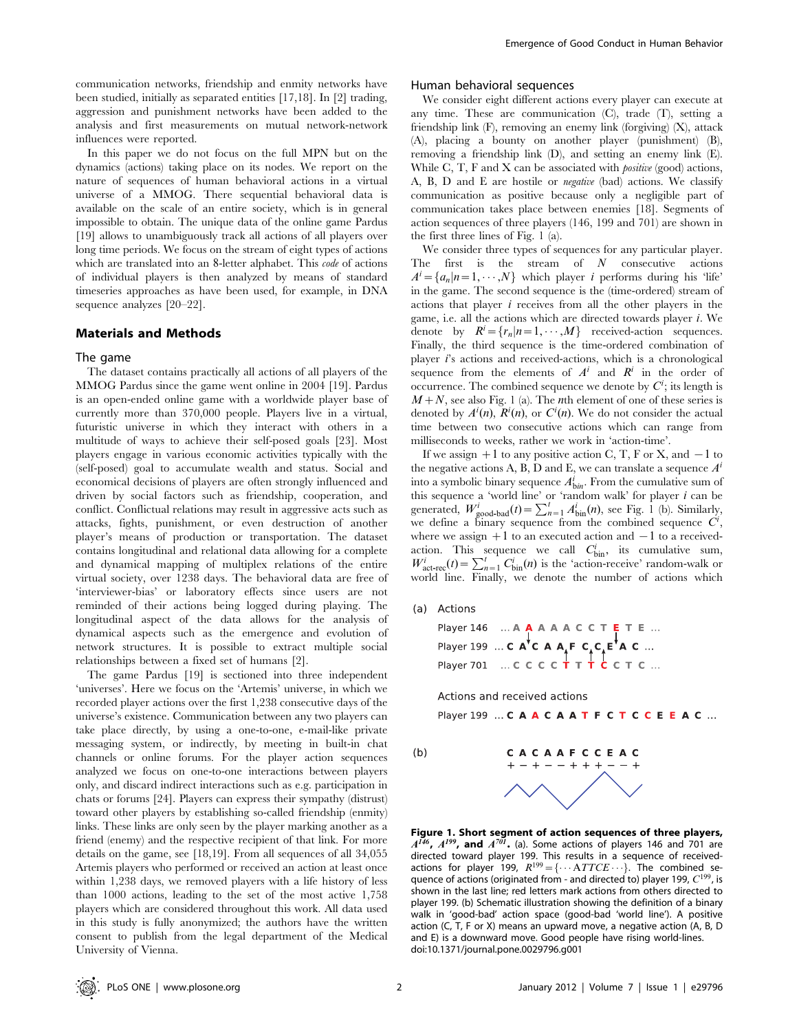communication networks, friendship and enmity networks have been studied, initially as separated entities [17,18]. In [2] trading, aggression and punishment networks have been added to the analysis and first measurements on mutual network-network influences were reported.

In this paper we do not focus on the full MPN but on the dynamics (actions) taking place on its nodes. We report on the nature of sequences of human behavioral actions in a virtual universe of a MMOG. There sequential behavioral data is available on the scale of an entire society, which is in general impossible to obtain. The unique data of the online game Pardus [19] allows to unambiguously track all actions of all players over long time periods. We focus on the stream of eight types of actions which are translated into an 8-letter alphabet. This code of actions of individual players is then analyzed by means of standard timeseries approaches as have been used, for example, in DNA sequence analyzes [20–22].

# Materials and Methods

#### The game

The dataset contains practically all actions of all players of the MMOG Pardus since the game went online in 2004 [19]. Pardus is an open-ended online game with a worldwide player base of currently more than 370,000 people. Players live in a virtual, futuristic universe in which they interact with others in a multitude of ways to achieve their self-posed goals [23]. Most players engage in various economic activities typically with the (self-posed) goal to accumulate wealth and status. Social and economical decisions of players are often strongly influenced and driven by social factors such as friendship, cooperation, and conflict. Conflictual relations may result in aggressive acts such as attacks, fights, punishment, or even destruction of another player's means of production or transportation. The dataset contains longitudinal and relational data allowing for a complete and dynamical mapping of multiplex relations of the entire virtual society, over 1238 days. The behavioral data are free of 'interviewer-bias' or laboratory effects since users are not reminded of their actions being logged during playing. The longitudinal aspect of the data allows for the analysis of dynamical aspects such as the emergence and evolution of network structures. It is possible to extract multiple social relationships between a fixed set of humans [2].

The game Pardus [19] is sectioned into three independent 'universes'. Here we focus on the 'Artemis' universe, in which we recorded player actions over the first 1,238 consecutive days of the universe's existence. Communication between any two players can take place directly, by using a one-to-one, e-mail-like private messaging system, or indirectly, by meeting in built-in chat channels or online forums. For the player action sequences analyzed we focus on one-to-one interactions between players only, and discard indirect interactions such as e.g. participation in chats or forums [24]. Players can express their sympathy (distrust) toward other players by establishing so-called friendship (enmity) links. These links are only seen by the player marking another as a friend (enemy) and the respective recipient of that link. For more details on the game, see [18,19]. From all sequences of all 34,055 Artemis players who performed or received an action at least once within 1,238 days, we removed players with a life history of less than 1000 actions, leading to the set of the most active 1,758 players which are considered throughout this work. All data used in this study is fully anonymized; the authors have the written consent to publish from the legal department of the Medical University of Vienna.

## Human behavioral sequences

We consider eight different actions every player can execute at any time. These are communication (C), trade (T), setting a friendship link (F), removing an enemy link (forgiving) (X), attack (A), placing a bounty on another player (punishment) (B), removing a friendship link (D), and setting an enemy link (E). While C, T, F and X can be associated with *positive* (good) actions, A, B, D and E are hostile or *negative* (bad) actions. We classify communication as positive because only a negligible part of communication takes place between enemies [18]. Segments of action sequences of three players (146, 199 and 701) are shown in the first three lines of Fig. 1 (a).

We consider three types of sequences for any particular player. The first is the stream of  $N$  consecutive actions  $A^i = \{a_n | n = 1, \dots, N\}$  which player *i* performs during his 'life' in the game. The second sequence is the (time-ordered) stream of actions that player  $i$  receives from all the other players in the game, i.e. all the actions which are directed towards player i: We denote by  $R^i = \{r_n | n = 1, \dots, M\}$  received-action sequences. Finally, the third sequence is the time-ordered combination of player  $i$ 's actions and received-actions, which is a chronological sequence from the elements of  $A^i$  and  $R^i$  in the order of occurrence. The combined sequence we denote by  $C^i$ ; its length is  $M+N$ , see also Fig. 1 (a). The *n*th element of one of these series is denoted by  $A^i(n)$ ,  $R^i(n)$ , or  $C^i(n)$ . We do not consider the actual time between two consecutive actions which can range from milliseconds to weeks, rather we work in 'action-time'.

If we assign  $+1$  to any positive action C, T, F or X, and  $-1$  to the negative actions A, B, D and E, we can translate a sequence  $A^i$ into a symbolic binary sequence  $A_{\text{bin}}^i$ . From the cumulative sum of this sequence a 'world line' or 'random walk' for player  $i$  can be generated,  $W_{\text{good-bad}}^i(t) = \sum_{n=1}^l A_{\text{bin}}^{i}(n)$ , see Fig. 1 (b). Similarly, we define a binary sequence from the combined sequence  $C^i$ , where we assign  $+1$  to an executed action and  $-1$  to a receivedaction. This sequence we call  $C_{\text{bin}}^i$ , its cumulative sum,  $W_{\text{act-rec}}^i(t) = \sum_{n=1}^t C_{\text{bin}}^i(n)$  is the 'action-receive' random-walk or world line. Finally, we denote the number of actions which

(a) Actions

Player 146 ... A A A A A C C T E T E ...<br>Player 199 ... C A C A A F C C E A C ...<br>Player 701 ... C C C C T T T C C T C ...

Actions and received actions

Player 199 ... CAACAATFCTCCEEAC ...

 $(b)$ 

CACAAFCCEAC  $+ - + - - + + + - - +$ 

**Figure 1. Short segment of action sequences of three players,**  $A^{146}$ ,  $A^{199}$ , **and**  $A^{701}$ . (a). Some actions of players 146 and 701 are directed toward player 199. This results in a sequence of receivedactions for player 199,  $R^{199} = {\cdots} ATTCE \cdots$ . The combined sequence of actions (originated from - and directed to) player 199,  $C^{199}$ , is shown in the last line; red letters mark actions from others directed to player 199. (b) Schematic illustration showing the definition of a binary walk in 'good-bad' action space (good-bad 'world line'). A positive action (C, T, F or X) means an upward move, a negative action (A, B, D and E) is a downward move. Good people have rising world-lines. doi:10.1371/journal.pone.0029796.g001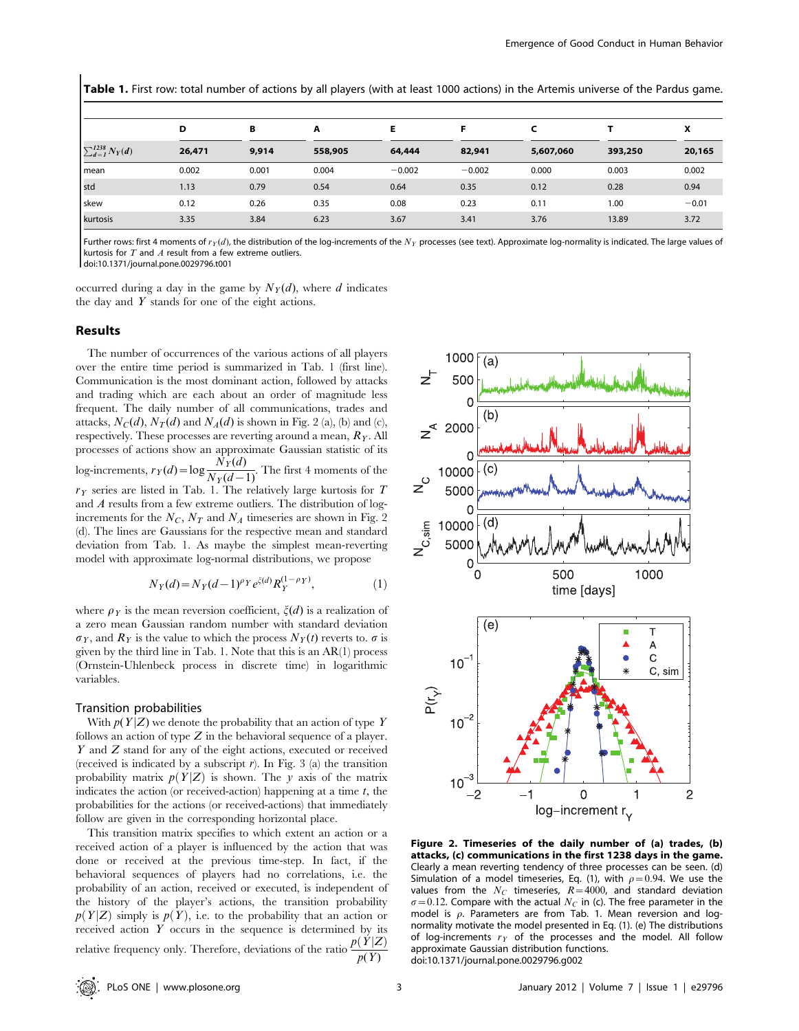Table 1. First row: total number of actions by all players (with at least 1000 actions) in the Artemis universe of the Pardus game.

|                            | D      | в     | A       | Е        | Е        |           |         | x       |
|----------------------------|--------|-------|---------|----------|----------|-----------|---------|---------|
| $\sum_{d=1}^{1238} N_Y(d)$ | 26,471 | 9,914 | 558,905 | 64,444   | 82,941   | 5,607,060 | 393,250 | 20,165  |
| l mean                     | 0.002  | 0.001 | 0.004   | $-0.002$ | $-0.002$ | 0.000     | 0.003   | 0.002   |
| std                        | 1.13   | 0.79  | 0.54    | 0.64     | 0.35     | 0.12      | 0.28    | 0.94    |
| skew                       | 0.12   | 0.26  | 0.35    | 0.08     | 0.23     | 0.11      | 1.00    | $-0.01$ |
| kurtosis                   | 3.35   | 3.84  | 6.23    | 3.67     | 3.41     | 3.76      | 13.89   | 3.72    |

Further rows: first 4 moments of  $r_Y(d)$ , the distribution of the log-increments of the  $N_Y$  processes (see text). Approximate log-normality is indicated. The large values of kurtosis for  $T$  and  $A$  result from a few extreme outliers.

doi:10.1371/journal.pone.0029796.t001

occurred during a day in the game by  $N_Y(d)$ , where d indicates the day and  $Y$  stands for one of the eight actions.

## Results

The number of occurrences of the various actions of all players over the entire time period is summarized in Tab. 1 (first line). Communication is the most dominant action, followed by attacks and trading which are each about an order of magnitude less frequent. The daily number of all communications, trades and attacks,  $N_C(d)$ ,  $N_T(d)$  and  $N_A(d)$  is shown in Fig. 2 (a), (b) and (c), respectively. These processes are reverting around a mean,  $R<sub>Y</sub>$ . All processes of actions show an approximate Gaussian statistic of its log-increments,  $r_Y(d) = \log \frac{N_Y(d)}{N_Y(d-1)}$ . The first 4 moments of the  $r<sub>Y</sub>$  series are listed in Tab. 1. The relatively large kurtosis for T and A results from a few extreme outliers. The distribution of logincrements for the  $N_C$ ,  $N_T$  and  $N_A$  timeseries are shown in Fig. 2 (d). The lines are Gaussians for the respective mean and standard deviation from Tab. 1. As maybe the simplest mean-reverting model with approximate log-normal distributions, we propose

$$
N_Y(d) = N_Y(d-1)^{\rho_Y} e^{\xi(d)} R_Y^{(1-\rho_Y)},\tag{1}
$$

where  $\rho_Y$  is the mean reversion coefficient,  $\zeta(d)$  is a realization of a zero mean Gaussian random number with standard deviation  $\sigma_Y$ , and  $R_Y$  is the value to which the process  $N_Y(t)$  reverts to.  $\sigma$  is given by the third line in Tab. 1. Note that this is an AR(1) process (Ornstein-Uhlenbeck process in discrete time) in logarithmic variables.

#### Transition probabilities

With  $p(Y|Z)$  we denote the probability that an action of type Y follows an action of type  $Z$  in the behavioral sequence of a player. Y and Z stand for any of the eight actions, executed or received (received is indicated by a subscript  $r$ ). In Fig. 3 (a) the transition probability matrix  $p(Y|Z)$  is shown. The y axis of the matrix indicates the action (or received-action) happening at a time  $t$ , the probabilities for the actions (or received-actions) that immediately follow are given in the corresponding horizontal place.

This transition matrix specifies to which extent an action or a received action of a player is influenced by the action that was done or received at the previous time-step. In fact, if the behavioral sequences of players had no correlations, i.e. the probability of an action, received or executed, is independent of the history of the player's actions, the transition probability  $p(Y|Z)$  simply is  $p(Y)$ , i.e. to the probability that an action or received action  $Y$  occurs in the sequence is determined by its relative frequency only. Therefore, deviations of the ratio  $\frac{p(Y|Z)}{p(Y)}$ 



Figure 2. Timeseries of the daily number of (a) trades, (b) attacks, (c) communications in the first 1238 days in the game. Clearly a mean reverting tendency of three processes can be seen. (d) Simulation of a model timeseries, Eq. (1), with  $\rho$  = 0.94. We use the values from the  $N_C$  timeseries,  $R=4000$ , and standard deviation  $\sigma$  = 0.12. Compare with the actual  $N_C$  in (c). The free parameter in the model is  $\rho$ . Parameters are from Tab. 1. Mean reversion and lognormality motivate the model presented in Eq. (1). (e) The distributions of log-increments  $r_Y$  of the processes and the model. All follow approximate Gaussian distribution functions. doi:10.1371/journal.pone.0029796.g002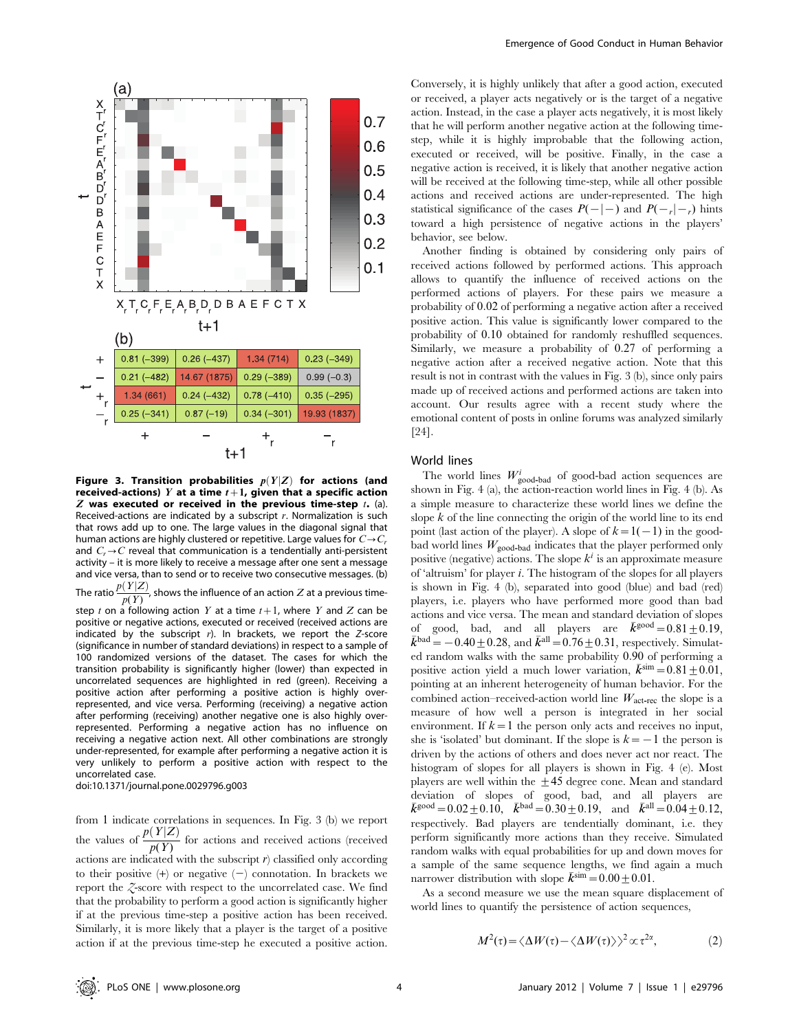

Figure 3. Transition probabilities  $p(Y|Z)$  for actions (and received-actions) Y at a time  $t+1$ , given that a specific action  $Z$  was executed or received in the previous time-step  $t$ . (a). Received-actions are indicated by a subscript  $r$ . Normalization is such that rows add up to one. The large values in the diagonal signal that human actions are highly clustered or repetitive. Large values for  $C\rightarrow C_r$ and  $C_r \rightarrow C$  reveal that communication is a tendentially anti-persistent activity – it is more likely to receive a message after one sent a message and vice versa, than to send or to receive two consecutive messages. (b) The ratio  $\frac{p(Y|Z)}{p(Y)}$ , shows the influence of an action  $Z$  at a previous time-

step t on a following action Y at a time  $t+1$ , where Y and Z can be positive or negative actions, executed or received (received actions are indicated by the subscript  $r$ ). In brackets, we report the Z-score (significance in number of standard deviations) in respect to a sample of 100 randomized versions of the dataset. The cases for which the transition probability is significantly higher (lower) than expected in uncorrelated sequences are highlighted in red (green). Receiving a positive action after performing a positive action is highly overrepresented, and vice versa. Performing (receiving) a negative action after performing (receiving) another negative one is also highly overrepresented. Performing a negative action has no influence on receiving a negative action next. All other combinations are strongly under-represented, for example after performing a negative action it is very unlikely to perform a positive action with respect to the uncorrelated case.

doi:10.1371/journal.pone.0029796.g003

from 1 indicate correlations in sequences. In Fig. 3 (b) we report the values of  $\frac{p(Y|Z)}{p(Y)}$  for actions and received actions (received actions are indicated with the subscript  $r$ ) classified only according to their positive  $(+)$  or negative  $(-)$  connotation. In brackets we report the Z-score with respect to the uncorrelated case. We find that the probability to perform a good action is significantly higher if at the previous time-step a positive action has been received. Similarly, it is more likely that a player is the target of a positive action if at the previous time-step he executed a positive action.

Conversely, it is highly unlikely that after a good action, executed or received, a player acts negatively or is the target of a negative action. Instead, in the case a player acts negatively, it is most likely that he will perform another negative action at the following timestep, while it is highly improbable that the following action, executed or received, will be positive. Finally, in the case a negative action is received, it is likely that another negative action will be received at the following time-step, while all other possible actions and received actions are under-represented. The high statistical significance of the cases  $P(-|{-})$  and  $P(-|{-})$  hints toward a high persistence of negative actions in the players' behavior, see below.

Another finding is obtained by considering only pairs of received actions followed by performed actions. This approach allows to quantify the influence of received actions on the performed actions of players. For these pairs we measure a probability of 0:02 of performing a negative action after a received positive action. This value is significantly lower compared to the probability of 0:10 obtained for randomly reshuffled sequences. Similarly, we measure a probability of 0:27 of performing a negative action after a received negative action. Note that this result is not in contrast with the values in Fig. 3 (b), since only pairs made up of received actions and performed actions are taken into account. Our results agree with a recent study where the emotional content of posts in online forums was analyzed similarly [24].

# World lines

The world lines  $W_{\text{good-bad}}^i$  of good-bad action sequences are shown in Fig. 4 (a), the action-reaction world lines in Fig. 4 (b). As a simple measure to characterize these world lines we define the slope  $k$  of the line connecting the origin of the world line to its end point (last action of the player). A slope of  $k=1(-1)$  in the goodbad world lines  $W_{\text{good-bad}}$  indicates that the player performed only positive (negative) actions. The slope  $k^i$  is an approximate measure of 'altruism' for player i. The histogram of the slopes for all players is shown in Fig. 4 (b), separated into good (blue) and bad (red) players, i.e. players who have performed more good than bad actions and vice versa. The mean and standard deviation of slopes of good, bad, and all players are  $\vec{k}^{\text{good}} = 0.81 \pm 0.19$ ,<br>  $\vec{k}^{\text{bad}} = -0.40 + 0.28$  and  $\vec{k}^{\text{all}} = 0.76 + 0.31$ , respectively. Simulat- $\bar{k}^{\text{bad}} = -0.40 \pm 0.28$ , and  $\bar{k}^{\text{all}} = 0.76 \pm 0.31$ , respectively. Simulated random walks with the same probability 0:90 of performing a positive action yield a much lower variation,  $\bar{k}^{\text{sim}} = 0.81 \pm 0.01$ , pointing at an inherent heterogeneity of human behavior. For the combined action–received-action world line  $W_{\text{act-rec}}$  the slope is a measure of how well a person is integrated in her social environment. If  $k=1$  the person only acts and receives no input, she is 'isolated' but dominant. If the slope is  $k=-1$  the person is driven by the actions of others and does never act nor react. The histogram of slopes for all players is shown in Fig. 4 (e). Most players are well within the  $\pm 45$  degree cone. Mean and standard deviation of slopes of good, bad, and all players are  $\bar{k}^{\text{good}} = 0.02 \pm 0.10, \quad \bar{k}^{\text{bad}} = 0.30 \pm 0.19, \quad \text{and} \quad \bar{k}^{\text{all}} = 0.04 \pm 0.12,$ respectively. Bad players are tendentially dominant, i.e. they perform significantly more actions than they receive. Simulated random walks with equal probabilities for up and down moves for a sample of the same sequence lengths, we find again a much narrower distribution with slope  $\bar{k}^{\text{sim}} = 0.00 \pm 0.01$ .

As a second measure we use the mean square displacement of world lines to quantify the persistence of action sequences,

$$
M^{2}(\tau) = \langle \Delta W(\tau) - \langle \Delta W(\tau) \rangle \rangle^{2} \propto \tau^{2\alpha}, \tag{2}
$$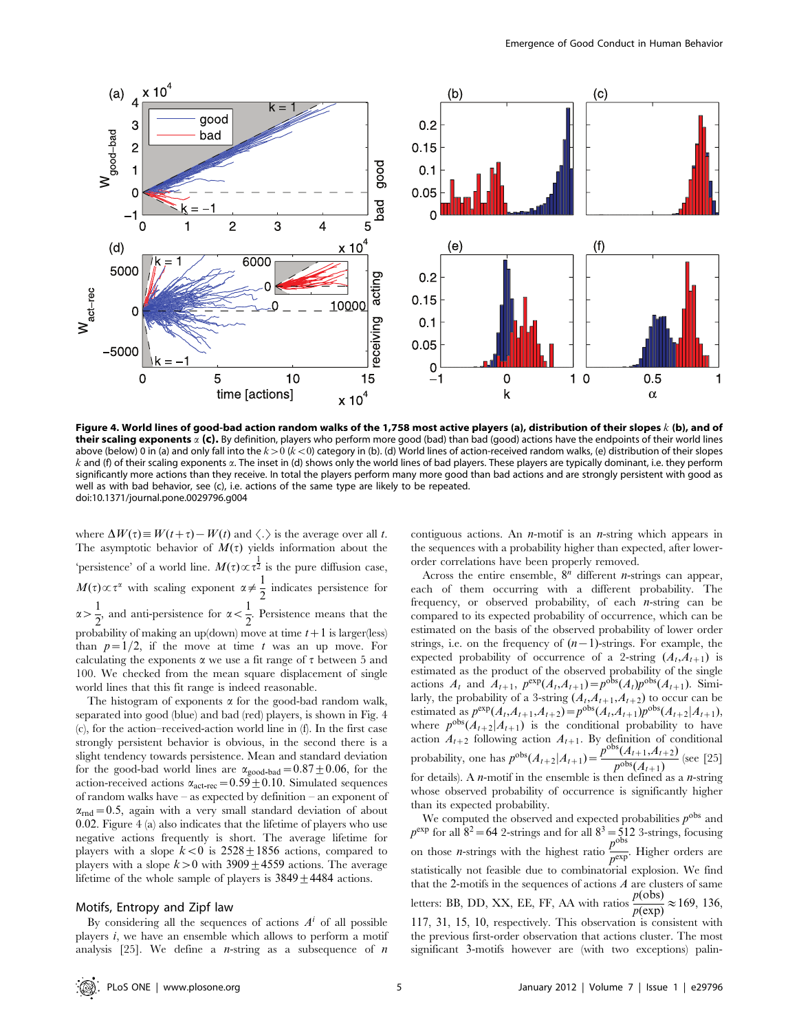

Figure 4. World lines of good-bad action random walks of the 1,758 most active players (a), distribution of their slopes  $k$  (b), and of their scaling exponents  $\alpha$  (c). By definition, players who perform more good (bad) than bad (good) actions have the endpoints of their world lines above (below) 0 in (a) and only fall into the  $k>0$  ( $k<0$ ) category in (b). (d) World lines of action-received random walks, (e) distribution of their slopes  $k$  and (f) of their scaling exponents  $\alpha$ . The inset in (d) shows only the world lines of bad players. These players are typically dominant, i.e. they perform significantly more actions than they receive. In total the players perform many more good than bad actions and are strongly persistent with good as well as with bad behavior, see (c), i.e. actions of the same type are likely to be repeated. doi:10.1371/journal.pone.0029796.g004

where  $\Delta W(\tau) \equiv W(t+\tau) - W(t)$  and  $\langle . \rangle$  is the average over all t. The asymptotic behavior of  $M(\tau)$  yields information about the 'persistence' of a world line.  $M(\tau) \propto \tau^{\frac{1}{2}}$  is the pure diffusion case,  $M(\tau) \propto \tau^{\alpha}$  with scaling exponent  $\alpha \neq \frac{1}{2}$  indicates persistence for  $\alpha > \frac{1}{2}$  $\frac{1}{2}$ , and anti-persistence for  $\alpha < \frac{1}{2}$  $\frac{1}{2}$ . Persistence means that the probability of making an up(down) move at time  $t+1$  is larger(less) than  $p=1/2$ , if the move at time t was an up move. For calculating the exponents  $\alpha$  we use a fit range of  $\tau$  between 5 and 100. We checked from the mean square displacement of single world lines that this fit range is indeed reasonable.

The histogram of exponents  $\alpha$  for the good-bad random walk, separated into good (blue) and bad (red) players, is shown in Fig. 4 (c), for the action–received-action world line in (f). In the first case strongly persistent behavior is obvious, in the second there is a slight tendency towards persistence. Mean and standard deviation for the good-bad world lines are  $\alpha_{\text{good-bad}}=0.87\pm0.06$ , for the action-received actions  $\alpha_{\text{act-rec}} = 0.59 \pm 0.10$ . Simulated sequences of random walks have – as expected by definition – an exponent of  $\alpha_{\text{rnd}} = 0.5$ , again with a very small standard deviation of about 0:02. Figure 4 (a) also indicates that the lifetime of players who use negative actions frequently is short. The average lifetime for players with a slope  $k<0$  is  $2528 \pm 1856$  actions, compared to players with a slope  $k>0$  with 3909 $\pm$ 4559 actions. The average lifetime of the whole sample of players is  $3849 \pm 4484$  actions.

## Motifs, Entropy and Zipf law

By considering all the sequences of actions  $A<sup>i</sup>$  of all possible players  $i$ , we have an ensemble which allows to perform a motif analysis [25]. We define a *n*-string as a subsequence of *n*  contiguous actions. An  $n$ -motif is an  $n$ -string which appears in the sequences with a probability higher than expected, after lowerorder correlations have been properly removed.

Across the entire ensemble,  $8^n$  different *n*-strings can appear, each of them occurring with a different probability. The frequency, or observed probability, of each  $n$ -string can be compared to its expected probability of occurrence, which can be estimated on the basis of the observed probability of lower order strings, i.e. on the frequency of  $(n-1)$ -strings. For example, the expected probability of occurrence of a 2-string  $(A_t, A_{t+1})$  is estimated as the product of the observed probability of the single actions  $A_t$  and  $A_{t+1}$ ,  $p^{\exp}(A_t, A_{t+1}) = p^{\text{obs}}(A_t)p^{\text{obs}}(A_{t+1})$ . Similarly, the probability of a 3-string  $(A_t, A_{t+1}, A_{t+2})$  to occur can be estimated as  $p^{\exp}(A_{t},A_{t+1},A_{t+2})=p^{\text{obs}}(A_{t},A_{t+1})p^{\text{obs}}(A_{t+2}|A_{t+1}),$ where  $p^{\text{obs}}(A_{t+2}|A_{t+1})$  is the conditional probability to have action  $A_{t+2}$  following action  $A_{t+1}$ . By definition of conditional probability, one has  $p^{\text{obs}}(A_{t+2}|A_{t+1}) = \frac{p^{\text{obs}}(A_{t+1},A_{t+2})}{p^{\text{obs}}(A_{t+1})}$  (see [25] for details). A  $n$ -motif in the ensemble is then defined as a  $n$ -string whose observed probability of occurrence is significantly higher than its expected probability.

We computed the observed and expected probabilities  $p^{\text{obs}}$  and  $p^{\text{exp}}$  for all  $8^2$  = 64 2-strings and for all  $8^3 = 512$  3-strings, focusing on those *n*-strings with the highest ratio  $\frac{p^{obs}}{p^{exp}}$ . Higher orders are statistically not feasible due to combinatorial explosion. We find that the 2-motifs in the sequences of actions  $A$  are clusters of same letters: BB, DD, XX, EE, FF, AA with ratios  $\frac{p(\text{obs})}{p(\text{exp})} \approx 169$ , 136, 117, 31, 15, 10, respectively. This observation is consistent with the previous first-order observation that actions cluster. The most significant 3-motifs however are (with two exceptions) palin-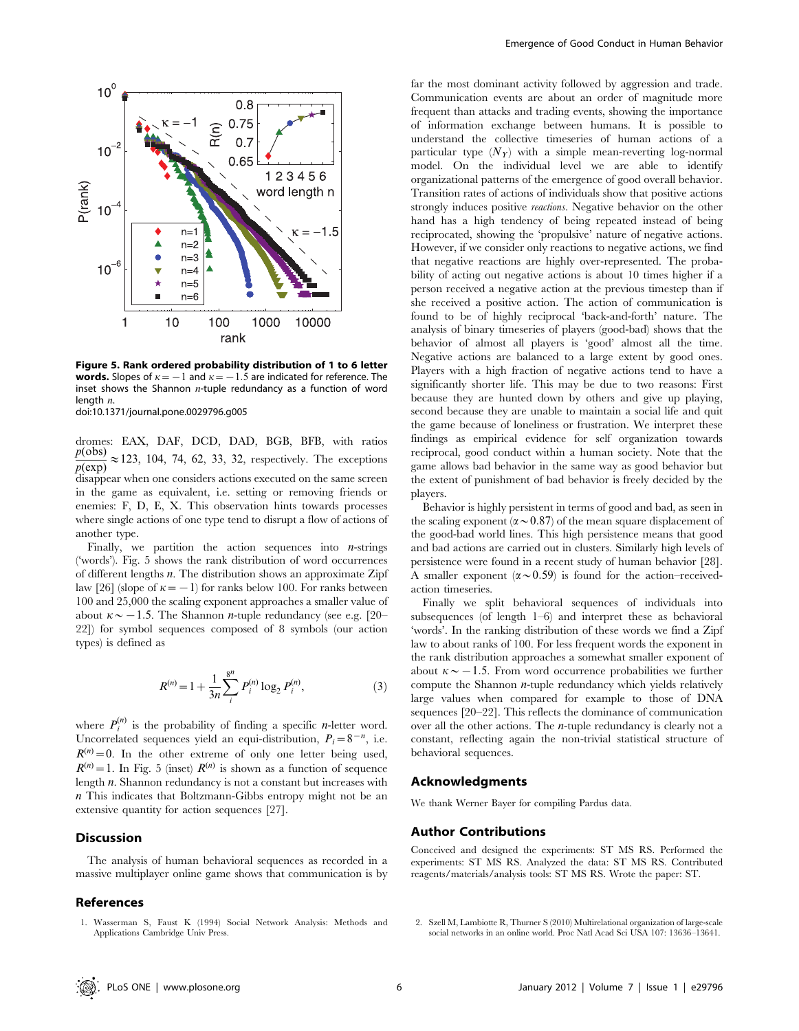

Figure 5. Rank ordered probability distribution of 1 to 6 letter **words.** Slopes of  $\kappa$  = -1 and  $\kappa$  = -1.5 are indicated for reference. The inset shows the Shannon  $n$ -tuple redundancy as a function of word length  $n$ .

doi:10.1371/journal.pone.0029796.g005

dromes: EAX, DAF, DCD, DAD, BGB, BFB, with ratios  $\frac{p(\text{obs})}{p(\text{exp})} \approx 123$ , 104, 74, 62, 33, 32, respectively. The exceptions disappear when one considers actions executed on the same screen in the game as equivalent, i.e. setting or removing friends or enemies: F, D, E, X. This observation hints towards processes where single actions of one type tend to disrupt a flow of actions of another type.

Finally, we partition the action sequences into  $n$ -strings ('words'). Fig. 5 shows the rank distribution of word occurrences of different lengths n. The distribution shows an approximate Zipf law [26] (slope of  $\kappa$  = -1) for ranks below 100. For ranks between 100 and 25,000 the scaling exponent approaches a smaller value of about  $\kappa \sim -1.5$ . The Shannon *n*-tuple redundancy (see e.g. [20– 22]) for symbol sequences composed of 8 symbols (our action types) is defined as

$$
R^{(n)} = 1 + \frac{1}{3n} \sum_{i}^{8^n} P_i^{(n)} \log_2 P_i^{(n)},
$$
\n(3)

where  $P_i^{(n)}$  is the probability of finding a specific *n*-letter word. Uncorrelated sequences yield an equi-distribution,  $P_i = 8^{-n}$ , i.e.  $R^{(n)} = 0$ . In the other extreme of only one letter being used,  $R^{(n)} = 1$ . In Fig. 5 (inset)  $R^{(n)}$  is shown as a function of sequence length n. Shannon redundancy is not a constant but increases with n This indicates that Boltzmann-Gibbs entropy might not be an extensive quantity for action sequences [27].

# Discussion

The analysis of human behavioral sequences as recorded in a massive multiplayer online game shows that communication is by

# References

1. Wasserman S, Faust K (1994) Social Network Analysis: Methods and Applications Cambridge Univ Press.

far the most dominant activity followed by aggression and trade. Communication events are about an order of magnitude more frequent than attacks and trading events, showing the importance of information exchange between humans. It is possible to understand the collective timeseries of human actions of a particular type  $(N_Y)$  with a simple mean-reverting log-normal model. On the individual level we are able to identify organizational patterns of the emergence of good overall behavior. Transition rates of actions of individuals show that positive actions strongly induces positive reactions. Negative behavior on the other hand has a high tendency of being repeated instead of being reciprocated, showing the 'propulsive' nature of negative actions. However, if we consider only reactions to negative actions, we find that negative reactions are highly over-represented. The probability of acting out negative actions is about 10 times higher if a person received a negative action at the previous timestep than if she received a positive action. The action of communication is found to be of highly reciprocal 'back-and-forth' nature. The analysis of binary timeseries of players (good-bad) shows that the behavior of almost all players is 'good' almost all the time. Negative actions are balanced to a large extent by good ones. Players with a high fraction of negative actions tend to have a significantly shorter life. This may be due to two reasons: First because they are hunted down by others and give up playing, second because they are unable to maintain a social life and quit the game because of loneliness or frustration. We interpret these findings as empirical evidence for self organization towards reciprocal, good conduct within a human society. Note that the game allows bad behavior in the same way as good behavior but the extent of punishment of bad behavior is freely decided by the players.

Behavior is highly persistent in terms of good and bad, as seen in the scaling exponent ( $\alpha \sim 0.87$ ) of the mean square displacement of the good-bad world lines. This high persistence means that good and bad actions are carried out in clusters. Similarly high levels of persistence were found in a recent study of human behavior [28]. A smaller exponent ( $\alpha \sim 0.59$ ) is found for the action–receivedaction timeseries.

Finally we split behavioral sequences of individuals into subsequences (of length 1–6) and interpret these as behavioral 'words'. In the ranking distribution of these words we find a Zipf law to about ranks of 100. For less frequent words the exponent in the rank distribution approaches a somewhat smaller exponent of about  $\kappa \sim -1.5$ . From word occurrence probabilities we further compute the Shannon  $n$ -tuple redundancy which yields relatively large values when compared for example to those of DNA sequences [20–22]. This reflects the dominance of communication over all the other actions. The n-tuple redundancy is clearly not a constant, reflecting again the non-trivial statistical structure of behavioral sequences.

# Acknowledgments

We thank Werner Bayer for compiling Pardus data.

# Author Contributions

Conceived and designed the experiments: ST MS RS. Performed the experiments: ST MS RS. Analyzed the data: ST MS RS. Contributed reagents/materials/analysis tools: ST MS RS. Wrote the paper: ST.

2. Szell M, Lambiotte R, Thurner S (2010) Multirelational organization of large-scale social networks in an online world. Proc Natl Acad Sci USA 107: 13636–13641.